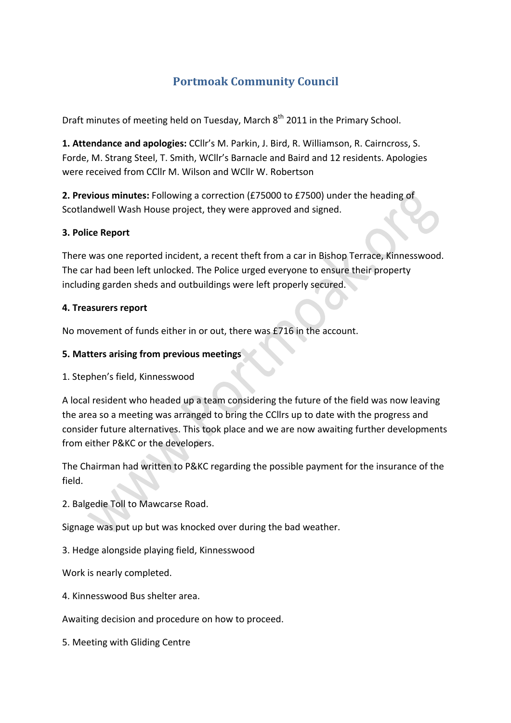# **Portmoak Community Council**

Draft minutes of meeting held on Tuesday, March 8<sup>th</sup> 2011 in the Primary School.

**1. Attendance and apologies:** CCllr's M. Parkin, J. Bird, R. Williamson, R. Cairncross, S. Forde, M. Strang Steel, T. Smith, WCllr's Barnacle and Baird and 12 residents. Apologies were received from CCllr M. Wilson and WCllr W. Robertson

**2. Previous minutes:** Following a correction (£75000 to £7500) under the heading of Scotlandwell Wash House project, they were approved and signed.

### **3. Police Report**

There was one reported incident, a recent theft from a car in Bishop Terrace, Kinnesswood. The car had been left unlocked. The Police urged everyone to ensure their property including garden sheds and outbuildings were left properly secured.

#### **4. Treasurers report**

No movement of funds either in or out, there was £716 in the account.

### **5.#Matters#arising from#previous#meetings**

1. Stephen's field, Kinnesswood

A local resident who headed up a team considering the future of the field was now leaving the area so a meeting was arranged to bring the CCllrs up to date with the progress and consider future alternatives. This took place and we are now awaiting further developments from either P&KC or the developers.

The Chairman had written to P&KC regarding the possible payment for the insurance of the field.

2. Balgedie Toll to Mawcarse Road.

Signage was put up but was knocked over during the bad weather.

3. Hedge alongside playing field, Kinnesswood

Work is nearly completed.

4. Kinnesswood Bus shelter area.

Awaiting decision and procedure on how to proceed.

5. Meeting with Gliding Centre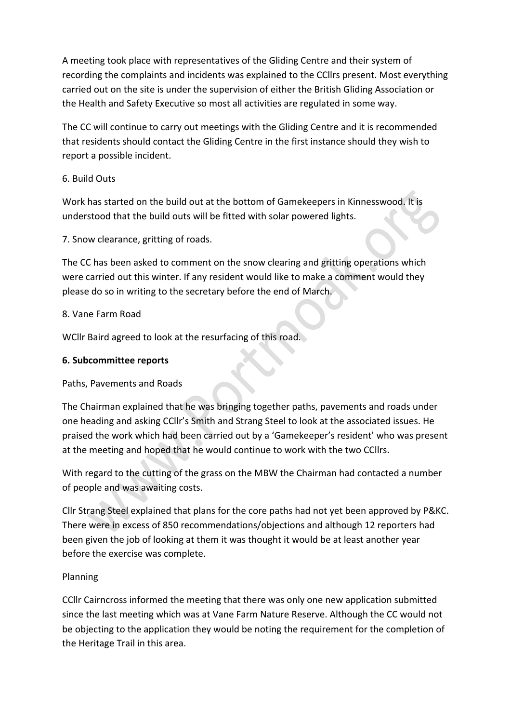A meeting took place with representatives of the Gliding Centre and their system of recording the complaints and incidents was explained to the CCllrs present. Most everything carried out on the site is under the supervision of either the British Gliding Association or the Health and Safety Executive so most all activities are regulated in some way.

The CC will continue to carry out meetings with the Gliding Centre and it is recommended that residents should contact the Gliding Centre in the first instance should they wish to report a possible incident.

# 6.!Build!Outs

Work has started on the build out at the bottom of Gamekeepers in Kinnesswood. It is understood that the build outs will be fitted with solar powered lights.

7. Snow clearance, gritting of roads.

The CC has been asked to comment on the snow clearing and gritting operations which were carried out this winter. If any resident would like to make a comment would they please do so in writing to the secretary before the end of March.

# 8. Vane Farm Road

WCllr Baird agreed to look at the resurfacing of this road.

# **6.#Subcommittee reports**

# Paths, Pavements and Roads

The Chairman explained that he was bringing together paths, pavements and roads under one heading and asking CCllr's Smith and Strang Steel to look at the associated issues. He praised the work which had been carried out by a 'Gamekeeper's resident' who was present at the meeting and hoped that he would continue to work with the two CCIIrs.

With regard to the cutting of the grass on the MBW the Chairman had contacted a number of people and was awaiting costs.

Cllr Strang Steel explained that plans for the core paths had not yet been approved by P&KC. There were in excess of 850 recommendations/objections and although 12 reporters had been given the job of looking at them it was thought it would be at least another year before the exercise was complete.

# Planning

CCIIr Cairncross informed the meeting that there was only one new application submitted since the last meeting which was at Vane Farm Nature Reserve. Although the CC would not be objecting to the application they would be noting the requirement for the completion of the Heritage Trail in this area.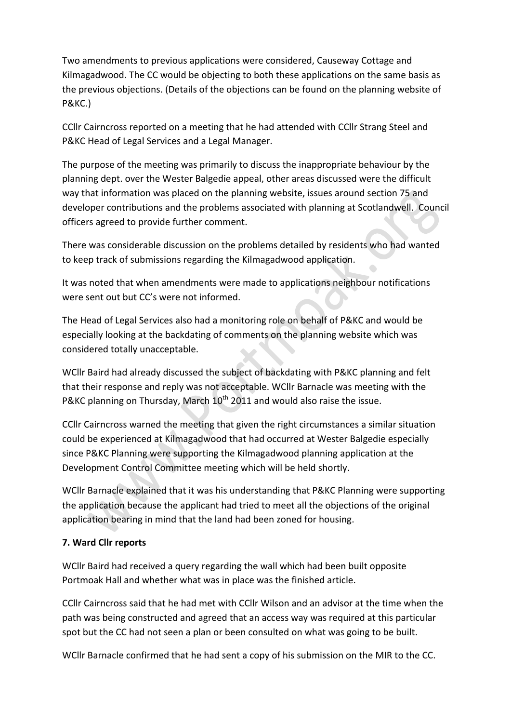Two amendments to previous applications were considered, Causeway Cottage and Kilmagadwood. The CC would be objecting to both these applications on the same basis as the previous objections. (Details of the objections can be found on the planning website of P&KC.)

CCIIr Cairncross reported on a meeting that he had attended with CCIIr Strang Steel and P&KC Head of Legal Services and a Legal Manager.

The purpose of the meeting was primarily to discuss the inappropriate behaviour by the planning dept. over the Wester Balgedie appeal, other areas discussed were the difficult way that information was placed on the planning website, issues around section 75 and developer contributions and the problems associated with planning at Scotlandwell. Council officers agreed to provide further comment.

There was considerable discussion on the problems detailed by residents who had wanted to keep track of submissions regarding the Kilmagadwood application.

It was noted that when amendments were made to applications neighbour notifications were sent out but CC's were not informed.

The Head of Legal Services also had a monitoring role on behalf of P&KC and would be especially looking at the backdating of comments on the planning website which was considered totally unacceptable.

WCllr Baird had already discussed the subject of backdating with P&KC planning and felt that their response and reply was not acceptable. WCllr Barnacle was meeting with the P&KC planning on Thursday, March  $10^{th}$  2011 and would also raise the issue.

CCIIr Cairncross warned the meeting that given the right circumstances a similar situation could be experienced at Kilmagadwood that had occurred at Wester Balgedie especially since P&KC Planning were supporting the Kilmagadwood planning application at the Development Control Committee meeting which will be held shortly.

WCllr Barnacle explained that it was his understanding that P&KC Planning were supporting the application because the applicant had tried to meet all the objections of the original application bearing in mind that the land had been zoned for housing.

# **7.#Ward#Cllr#reports**

WCllr Baird had received a query regarding the wall which had been built opposite Portmoak Hall and whether what was in place was the finished article.

CCIIr Cairncross said that he had met with CCIIr Wilson and an advisor at the time when the path was being constructed and agreed that an access way was required at this particular spot but the CC had not seen a plan or been consulted on what was going to be built.

WCllr Barnacle confirmed that he had sent a copy of his submission on the MIR to the CC.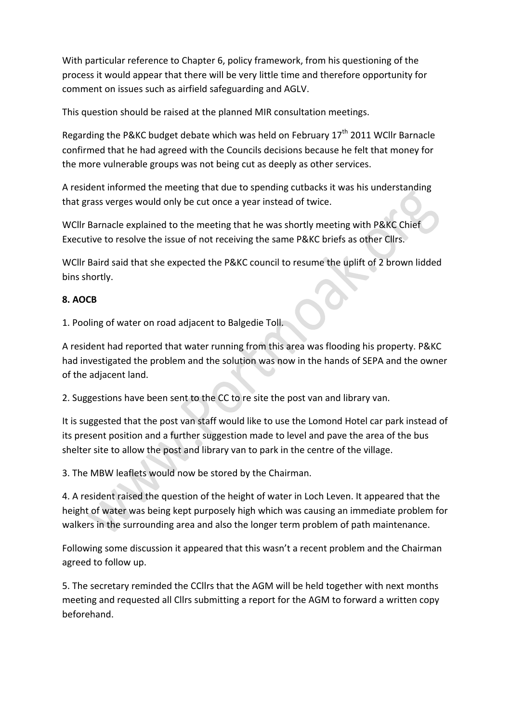With particular reference to Chapter 6, policy framework, from his questioning of the process it would appear that there will be very little time and therefore opportunity for comment on issues such as airfield safeguarding and AGLV.

This question should be raised at the planned MIR consultation meetings.

Regarding the P&KC budget debate which was held on February 17<sup>th</sup> 2011 WCllr Barnacle confirmed that he had agreed with the Councils decisions because he felt that money for the more vulnerable groups was not being cut as deeply as other services.

A resident informed the meeting that due to spending cutbacks it was his understanding that grass verges would only be cut once a year instead of twice.

WCllr Barnacle explained to the meeting that he was shortly meeting with P&KC Chief Executive to resolve the issue of not receiving the same P&KC briefs as other Cllrs.

WCllr Baird said that she expected the P&KC council to resume the uplift of 2 brown lidded bins shortly.

# **8.#AOCB**

1. Pooling of water on road adjacent to Balgedie Toll.

A resident had reported that water running from this area was flooding his property. P&KC had investigated the problem and the solution was now in the hands of SEPA and the owner of the adiacent land.

2. Suggestions have been sent to the CC to re site the post van and library van.

It is suggested that the post van staff would like to use the Lomond Hotel car park instead of its present position and a further suggestion made to level and pave the area of the bus shelter site to allow the post and library van to park in the centre of the village.

3. The MBW leaflets would now be stored by the Chairman.

4. A resident raised the question of the height of water in Loch Leven. It appeared that the height of water was being kept purposely high which was causing an immediate problem for walkers in the surrounding area and also the longer term problem of path maintenance.

Following some discussion it appeared that this wasn't a recent problem and the Chairman agreed to follow up.

5. The secretary reminded the CCllrs that the AGM will be held together with next months meeting and requested all Cllrs submitting a report for the AGM to forward a written copy beforehand.